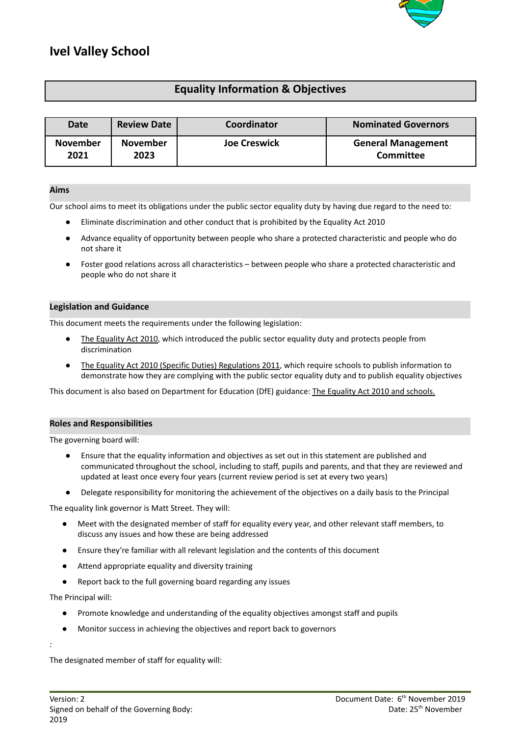

# **Ivel Valley School**

# **Equality Information & Objectives**

| Date            | <b>Review Date</b> | Coordinator         | <b>Nominated Governors</b> |
|-----------------|--------------------|---------------------|----------------------------|
| <b>November</b> | <b>November</b>    | <b>Joe Creswick</b> | <b>General Management</b>  |
| 2021            | 2023               |                     | Committee                  |

# **Aims**

Our school aims to meet its obligations under the public sector equality duty by having due regard to the need to:

- Eliminate discrimination and other conduct that is prohibited by the Equality Act 2010
- Advance equality of opportunity between people who share a protected characteristic and people who do not share it
- Foster good relations across all characteristics between people who share a protected characteristic and people who do not share it

# **Legislation and Guidance**

This document meets the requirements under the following legislation:

- The [Equality](http://www.legislation.gov.uk/ukpga/2010/15/contents) Act 2010, which introduced the public sector equality duty and protects people from discrimination
- The Equality Act 2010 (Specific Duties) [Regulations](http://www.legislation.gov.uk/uksi/2011/2260/contents/made) 2011, which require schools to publish information to demonstrate how they are complying with the public sector equality duty and to publish equality objectives

This document is also based on Department for Education (DfE) guidance: The Equality Act 2010 and [schools.](https://www.gov.uk/government/uploads/system/uploads/attachment_data/file/315587/Equality_Act_Advice_Final.pdf)

# **Roles and Responsibilities**

The governing board will:

- Ensure that the equality information and objectives as set out in this statement are published and communicated throughout the school, including to staff, pupils and parents, and that they are reviewed and updated at least once every four years (current review period is set at every two years)
- Delegate responsibility for monitoring the achievement of the objectives on a daily basis to the Principal

The equality link governor is Matt Street. They will:

- Meet with the designated member of staff for equality every year, and other relevant staff members, to discuss any issues and how these are being addressed
- Ensure they're familiar with all relevant legislation and the contents of this document
- Attend appropriate equality and diversity training
- Report back to the full governing board regarding any issues

The Principal will:

*:*

- Promote knowledge and understanding of the equality objectives amongst staff and pupils
- Monitor success in achieving the objectives and report back to governors

The designated member of staff for equality will: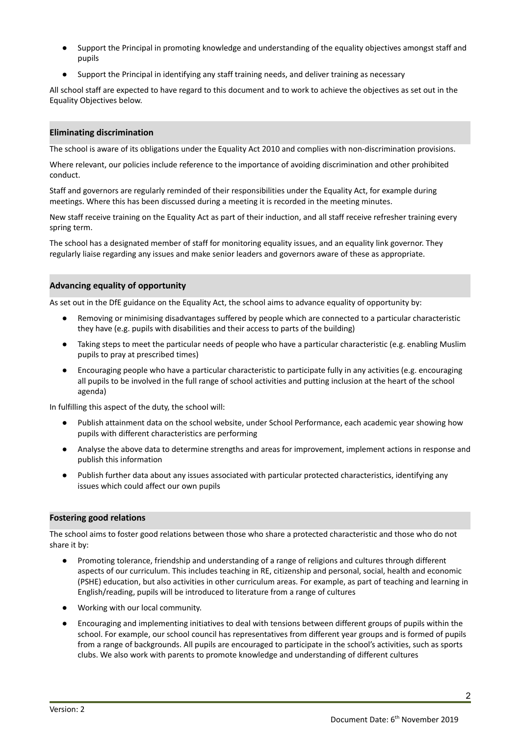- Support the Principal in promoting knowledge and understanding of the equality objectives amongst staff and pupils
- Support the Principal in identifying any staff training needs, and deliver training as necessary

All school staff are expected to have regard to this document and to work to achieve the objectives as set out in the Equality Objectives below.

#### **Eliminating discrimination**

The school is aware of its obligations under the Equality Act 2010 and complies with non-discrimination provisions.

Where relevant, our policies include reference to the importance of avoiding discrimination and other prohibited conduct.

Staff and governors are regularly reminded of their responsibilities under the Equality Act, for example during meetings. Where this has been discussed during a meeting it is recorded in the meeting minutes.

New staff receive training on the Equality Act as part of their induction, and all staff receive refresher training every spring term.

The school has a designated member of staff for monitoring equality issues, and an equality link governor. They regularly liaise regarding any issues and make senior leaders and governors aware of these as appropriate.

#### **Advancing equality of opportunity**

As set out in the DfE guidance on the Equality Act, the school aims to advance equality of opportunity by:

- Removing or minimising disadvantages suffered by people which are connected to a particular characteristic they have (e.g. pupils with disabilities and their access to parts of the building)
- Taking steps to meet the particular needs of people who have a particular characteristic (e.g. enabling Muslim pupils to pray at prescribed times)
- Encouraging people who have a particular characteristic to participate fully in any activities (e.g. encouraging all pupils to be involved in the full range of school activities and putting inclusion at the heart of the school agenda)

In fulfilling this aspect of the duty, the school will:

- Publish attainment data on the school website, under School Performance, each academic year showing how pupils with different characteristics are performing
- Analyse the above data to determine strengths and areas for improvement, implement actions in response and publish this information
- Publish further data about any issues associated with particular protected characteristics, identifying any issues which could affect our own pupils

#### **Fostering good relations**

The school aims to foster good relations between those who share a protected characteristic and those who do not share it by:

- Promoting tolerance, friendship and understanding of a range of religions and cultures through different aspects of our curriculum. This includes teaching in RE, citizenship and personal, social, health and economic (PSHE) education, but also activities in other curriculum areas. For example, as part of teaching and learning in English/reading, pupils will be introduced to literature from a range of cultures
- Working with our local community.
- Encouraging and implementing initiatives to deal with tensions between different groups of pupils within the school. For example, our school council has representatives from different year groups and is formed of pupils from a range of backgrounds. All pupils are encouraged to participate in the school's activities, such as sports clubs. We also work with parents to promote knowledge and understanding of different cultures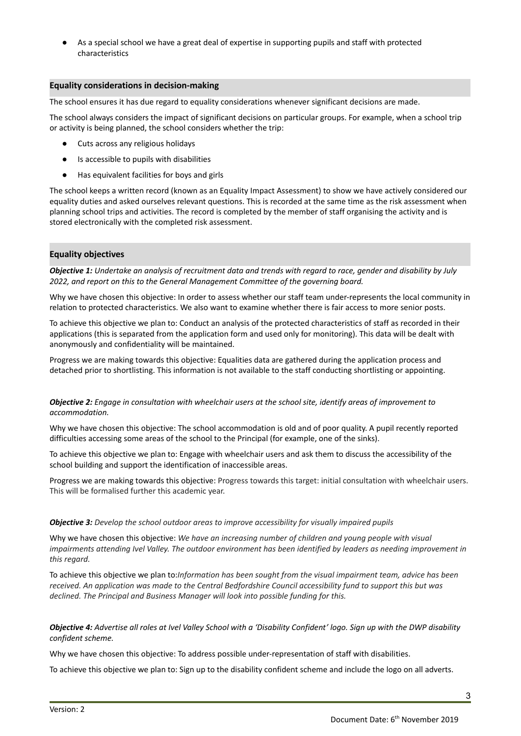As a special school we have a great deal of expertise in supporting pupils and staff with protected characteristics

#### **Equality considerations in decision-making**

The school ensures it has due regard to equality considerations whenever significant decisions are made.

The school always considers the impact of significant decisions on particular groups. For example, when a school trip or activity is being planned, the school considers whether the trip:

- Cuts across any religious holidays
- Is accessible to pupils with disabilities
- Has equivalent facilities for boys and girls

The school keeps a written record (known as an Equality Impact Assessment) to show we have actively considered our equality duties and asked ourselves relevant questions. This is recorded at the same time as the risk assessment when planning school trips and activities. The record is completed by the member of staff organising the activity and is stored electronically with the completed risk assessment.

# **Equality objectives**

Objective 1: Undertake an analysis of recruitment data and trends with regard to race, gender and disability by July *2022, and report on this to the General Management Committee of the governing board.*

Why we have chosen this objective: In order to assess whether our staff team under-represents the local community in relation to protected characteristics. We also want to examine whether there is fair access to more senior posts.

To achieve this objective we plan to: Conduct an analysis of the protected characteristics of staff as recorded in their applications (this is separated from the application form and used only for monitoring). This data will be dealt with anonymously and confidentiality will be maintained.

Progress we are making towards this objective: Equalities data are gathered during the application process and detached prior to shortlisting. This information is not available to the staff conducting shortlisting or appointing.

**Objective 2:** Engage in consultation with wheelchair users at the school site, identify areas of improvement to *accommodation.*

Why we have chosen this objective: The school accommodation is old and of poor quality. A pupil recently reported difficulties accessing some areas of the school to the Principal (for example, one of the sinks).

To achieve this objective we plan to: Engage with wheelchair users and ask them to discuss the accessibility of the school building and support the identification of inaccessible areas.

Progress we are making towards this objective: Progress towards this target: initial consultation with wheelchair users. This will be formalised further this academic year.

#### *Objective 3: Develop the school outdoor areas to improve accessibility for visually impaired pupils*

Why we have chosen this objective: *We have an increasing number of children and young people with visual* impairments attending Ivel Valley. The outdoor environment has been identified by leaders as needing improvement in *this regard.*

To achieve this objective we plan to:*Information has been sought from the visual impairment team, advice has been* received. An application was made to the Central Bedfordshire Council accessibility fund to support this but was *declined. The Principal and Business Manager will look into possible funding for this.*

**Objective 4:** Advertise all roles at Ivel Valley School with a 'Disability Confident' logo. Sign up with the DWP disability *confident scheme.*

Why we have chosen this objective: To address possible under-representation of staff with disabilities.

To achieve this objective we plan to: Sign up to the disability confident scheme and include the logo on all adverts.